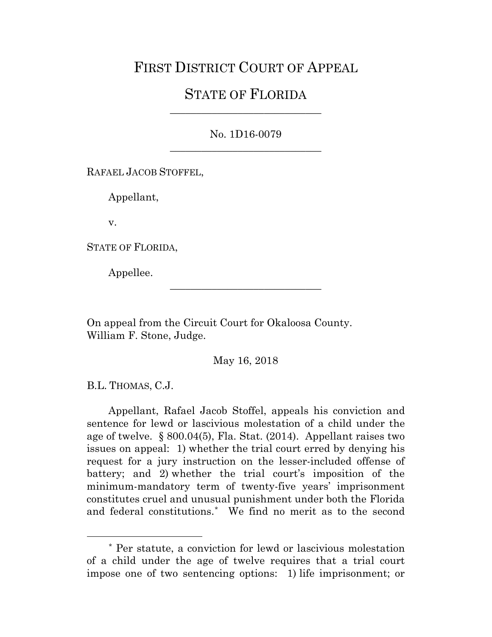## FIRST DISTRICT COURT OF APPEAL

## STATE OF FLORIDA \_\_\_\_\_\_\_\_\_\_\_\_\_\_\_\_\_\_\_\_\_\_\_\_\_\_\_\_\_

No. 1D16-0079 \_\_\_\_\_\_\_\_\_\_\_\_\_\_\_\_\_\_\_\_\_\_\_\_\_\_\_\_\_

RAFAEL JACOB STOFFEL,

Appellant,

v.

STATE OF FLORIDA,

Appellee.

On appeal from the Circuit Court for Okaloosa County. William F. Stone, Judge.

May 16, 2018

\_\_\_\_\_\_\_\_\_\_\_\_\_\_\_\_\_\_\_\_\_\_\_\_\_\_\_\_\_

B.L. THOMAS, C.J.

Appellant, Rafael Jacob Stoffel, appeals his conviction and sentence for lewd or lascivious molestation of a child under the age of twelve. § 800.04(5), Fla. Stat. (2014). Appellant raises two issues on appeal: 1) whether the trial court erred by denying his request for a jury instruction on the lesser-included offense of battery; and 2) whether the trial court's imposition of the minimum-mandatory term of twenty-five years' imprisonment constitutes cruel and unusual punishment under both the Florida and federal constitutions.[\\*](#page-0-0) We find no merit as to the second

<span id="page-0-0"></span> <sup>\*</sup> Per statute, a conviction for lewd or lascivious molestation of a child under the age of twelve requires that a trial court impose one of two sentencing options: 1) life imprisonment; or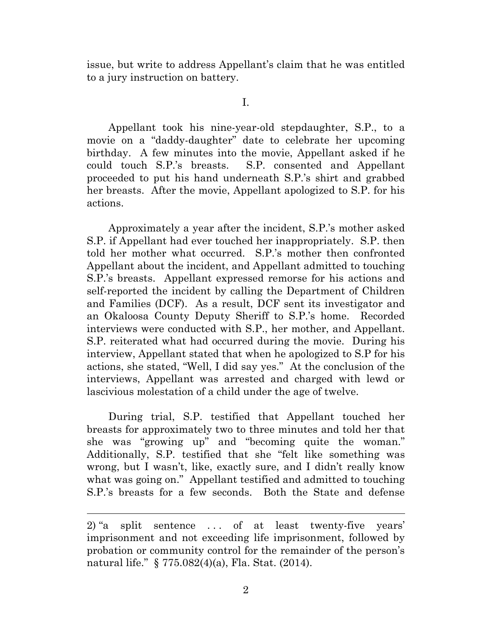issue, but write to address Appellant's claim that he was entitled to a jury instruction on battery.

I.

Appellant took his nine-year-old stepdaughter, S.P., to a movie on a "daddy-daughter" date to celebrate her upcoming birthday. A few minutes into the movie, Appellant asked if he could touch S.P.'s breasts. S.P. consented and Appellant proceeded to put his hand underneath S.P.'s shirt and grabbed her breasts. After the movie, Appellant apologized to S.P. for his actions.

Approximately a year after the incident, S.P.'s mother asked S.P. if Appellant had ever touched her inappropriately. S.P. then told her mother what occurred. S.P.'s mother then confronted Appellant about the incident, and Appellant admitted to touching S.P.'s breasts. Appellant expressed remorse for his actions and self-reported the incident by calling the Department of Children and Families (DCF). As a result, DCF sent its investigator and an Okaloosa County Deputy Sheriff to S.P.'s home. Recorded interviews were conducted with S.P., her mother, and Appellant. S.P. reiterated what had occurred during the movie. During his interview, Appellant stated that when he apologized to S.P for his actions, she stated, "Well, I did say yes." At the conclusion of the interviews, Appellant was arrested and charged with lewd or lascivious molestation of a child under the age of twelve.

During trial, S.P. testified that Appellant touched her breasts for approximately two to three minutes and told her that she was "growing up" and "becoming quite the woman." Additionally, S.P. testified that she "felt like something was wrong, but I wasn't, like, exactly sure, and I didn't really know what was going on." Appellant testified and admitted to touching S.P.'s breasts for a few seconds. Both the State and defense

 $\overline{a}$ 

<sup>2)</sup> "a split sentence . . . of at least twenty-five years' imprisonment and not exceeding life imprisonment, followed by probation or community control for the remainder of the person's natural life." § 775.082(4)(a), Fla. Stat. (2014).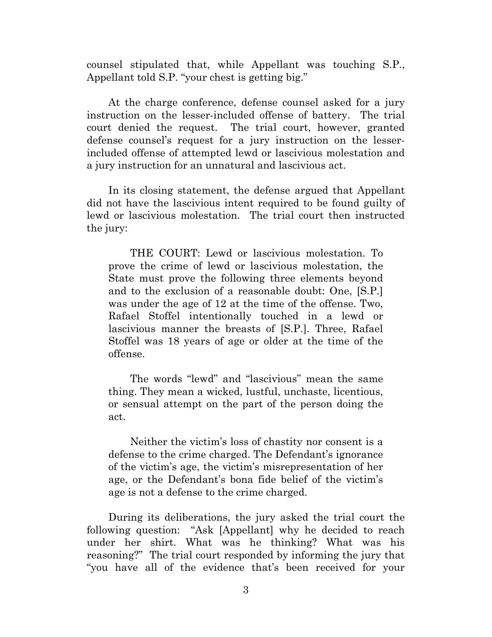counsel stipulated that, while Appellant was touching S.P., Appellant told S.P. "your chest is getting big."

At the charge conference, defense counsel asked for a jury instruction on the lesser-included offense of battery. The trial court denied the request. The trial court, however, granted defense counsel's request for a jury instruction on the lesserincluded offense of attempted lewd or lascivious molestation and a jury instruction for an unnatural and lascivious act.

In its closing statement, the defense argued that Appellant did not have the lascivious intent required to be found guilty of lewd or lascivious molestation. The trial court then instructed the jury:

THE COURT: Lewd or lascivious molestation. To prove the crime of lewd or lascivious molestation, the State must prove the following three elements beyond and to the exclusion of a reasonable doubt: One, [S.P.] was under the age of 12 at the time of the offense. Two, Rafael Stoffel intentionally touched in a lewd or lascivious manner the breasts of [S.P.]. Three, Rafael Stoffel was 18 years of age or older at the time of the offense.

The words "lewd" and "lascivious" mean the same thing. They mean a wicked, lustful, unchaste, licentious, or sensual attempt on the part of the person doing the act.

Neither the victim's loss of chastity nor consent is a defense to the crime charged. The Defendant's ignorance of the victim's age, the victim's misrepresentation of her age, or the Defendant's bona fide belief of the victim's age is not a defense to the crime charged.

During its deliberations, the jury asked the trial court the following question: "Ask [Appellant] why he decided to reach under her shirt. What was he thinking? What was his reasoning?" The trial court responded by informing the jury that "you have all of the evidence that's been received for your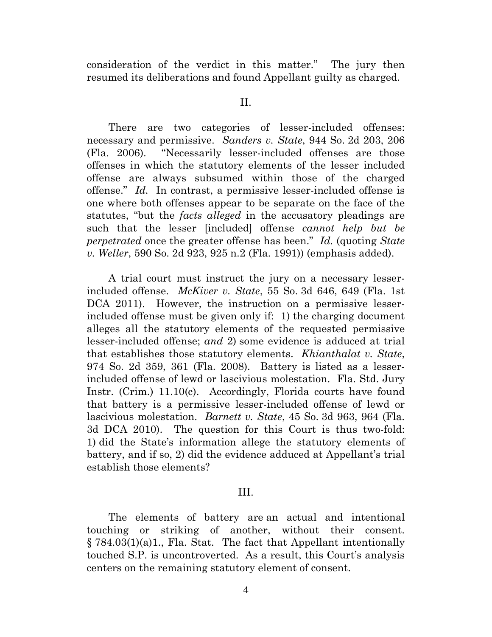consideration of the verdict in this matter." The jury then resumed its deliberations and found Appellant guilty as charged.

II.

There are two categories of lesser-included offenses: necessary and permissive. *Sanders v. State*, 944 So. 2d 203, 206 (Fla. 2006). "Necessarily lesser-included offenses are those offenses in which the statutory elements of the lesser included offense are always subsumed within those of the charged offense." *Id.* In contrast, a permissive lesser-included offense is one where both offenses appear to be separate on the face of the statutes, "but the *facts alleged* in the accusatory pleadings are such that the lesser [included] offense *cannot help but be perpetrated* once the greater offense has been." *Id.* (quoting *State v. Weller*, 590 So. 2d 923, 925 n.2 (Fla. 1991)) (emphasis added).

A trial court must instruct the jury on a necessary lesserincluded offense. *McKiver v. State*, 55 So. 3d 646, 649 (Fla. 1st DCA 2011). However, the instruction on a permissive lesserincluded offense must be given only if: 1) the charging document alleges all the statutory elements of the requested permissive lesser-included offense; *and* 2) some evidence is adduced at trial that establishes those statutory elements. *Khianthalat v. State*, 974 So. 2d 359, 361 (Fla. 2008). Battery is listed as a lesserincluded offense of lewd or lascivious molestation. Fla. Std. Jury Instr. (Crim.) 11.10(c). Accordingly, Florida courts have found that battery is a permissive lesser-included offense of lewd or lascivious molestation. *Barnett v. State*, 45 So. 3d 963, 964 (Fla. 3d DCA 2010). The question for this Court is thus two-fold: 1) did the State's information allege the statutory elements of battery, and if so, 2) did the evidence adduced at Appellant's trial establish those elements?

## III.

The elements of battery are an actual and intentional touching or striking of another, without their consent. § 784.03(1)(a)1., Fla. Stat. The fact that Appellant intentionally touched S.P. is uncontroverted. As a result, this Court's analysis centers on the remaining statutory element of consent.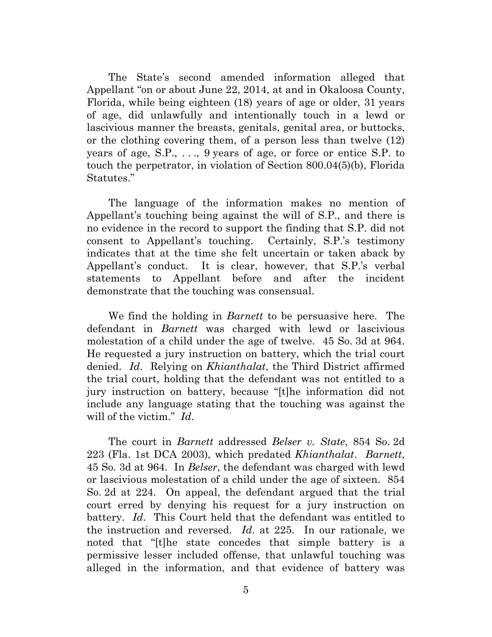The State's second amended information alleged that Appellant "on or about June 22, 2014, at and in Okaloosa County, Florida, while being eighteen (18) years of age or older, 31 years of age, did unlawfully and intentionally touch in a lewd or lascivious manner the breasts, genitals, genital area, or buttocks, or the clothing covering them, of a person less than twelve (12) years of age, S.P., . . ., 9 years of age, or force or entice S.P. to touch the perpetrator, in violation of Section 800.04(5)(b), Florida Statutes."

The language of the information makes no mention of Appellant's touching being against the will of S.P., and there is no evidence in the record to support the finding that S.P. did not consent to Appellant's touching. Certainly, S.P.'s testimony indicates that at the time she felt uncertain or taken aback by Appellant's conduct. It is clear, however, that S.P.'s verbal statements to Appellant before and after the incident demonstrate that the touching was consensual.

We find the holding in *Barnett* to be persuasive here. The defendant in *Barnett* was charged with lewd or lascivious molestation of a child under the age of twelve. 45 So. 3d at 964. He requested a jury instruction on battery, which the trial court denied. *Id*. Relying on *Khianthalat*, the Third District affirmed the trial court, holding that the defendant was not entitled to a jury instruction on battery, because "[t]he information did not include any language stating that the touching was against the will of the victim." *Id*.

The court in *Barnett* addressed *Belser v. State*, 854 So. 2d 223 (Fla. 1st DCA 2003), which predated *Khianthalat*. *Barnett*, 45 So. 3d at 964. In *Belser*, the defendant was charged with lewd or lascivious molestation of a child under the age of sixteen. 854 So. 2d at 224. On appeal, the defendant argued that the trial court erred by denying his request for a jury instruction on battery. *Id*. This Court held that the defendant was entitled to the instruction and reversed. *Id*. at 225. In our rationale, we noted that "[t]he state concedes that simple battery is a permissive lesser included offense, that unlawful touching was alleged in the information, and that evidence of battery was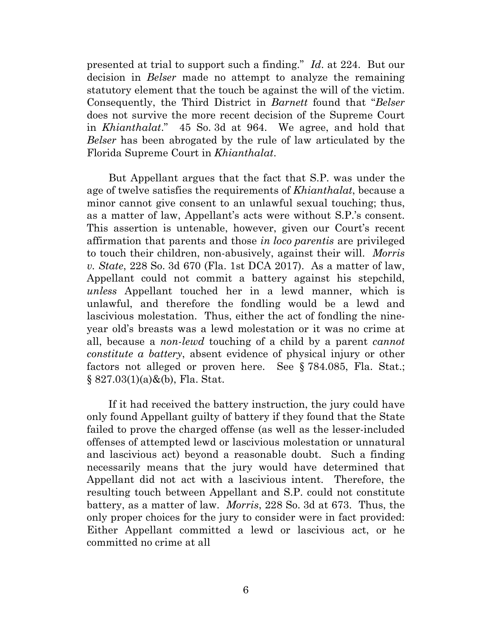presented at trial to support such a finding." *Id*. at 224. But our decision in *Belser* made no attempt to analyze the remaining statutory element that the touch be against the will of the victim. Consequently, the Third District in *Barnett* found that "*Belser* does not survive the more recent decision of the Supreme Court in *Khianthalat*." 45 So. 3d at 964. We agree, and hold that *Belser* has been abrogated by the rule of law articulated by the Florida Supreme Court in *Khianthalat*.

But Appellant argues that the fact that S.P. was under the age of twelve satisfies the requirements of *Khianthalat*, because a minor cannot give consent to an unlawful sexual touching; thus, as a matter of law, Appellant's acts were without S.P.'s consent. This assertion is untenable, however, given our Court's recent affirmation that parents and those *in loco parentis* are privileged to touch their children, non-abusively, against their will. *Morris v. State*, 228 So. 3d 670 (Fla. 1st DCA 2017). As a matter of law, Appellant could not commit a battery against his stepchild, *unless* Appellant touched her in a lewd manner, which is unlawful, and therefore the fondling would be a lewd and lascivious molestation. Thus, either the act of fondling the nineyear old's breasts was a lewd molestation or it was no crime at all, because a *non-lewd* touching of a child by a parent *cannot constitute a battery*, absent evidence of physical injury or other factors not alleged or proven here. See § 784.085, Fla. Stat.;  $§ 827.03(1)(a) \& (b)$ , Fla. Stat.

If it had received the battery instruction, the jury could have only found Appellant guilty of battery if they found that the State failed to prove the charged offense (as well as the lesser-included offenses of attempted lewd or lascivious molestation or unnatural and lascivious act) beyond a reasonable doubt. Such a finding necessarily means that the jury would have determined that Appellant did not act with a lascivious intent. Therefore, the resulting touch between Appellant and S.P. could not constitute battery, as a matter of law. *Morris*, 228 So. 3d at 673. Thus, the only proper choices for the jury to consider were in fact provided: Either Appellant committed a lewd or lascivious act, or he committed no crime at all